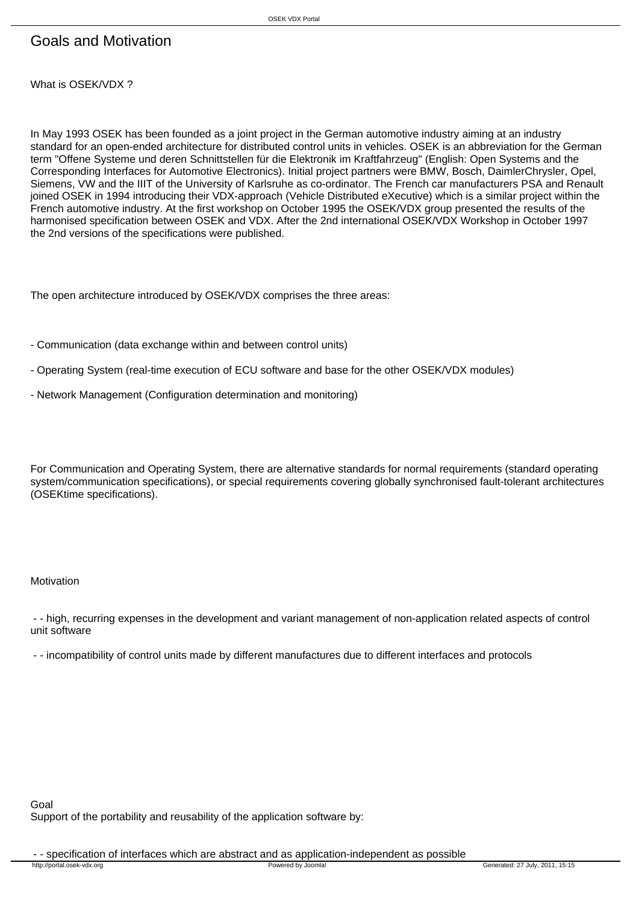## Goals and Motivation

What is OSEK/VDX ?

In May 1993 OSEK has been founded as a joint project in the German automotive industry aiming at an industry standard for an open-ended architecture for distributed control units in vehicles. OSEK is an abbreviation for the German term "Offene Systeme und deren Schnittstellen für die Elektronik im Kraftfahrzeug" (English: Open Systems and the Corresponding Interfaces for Automotive Electronics). Initial project partners were BMW, Bosch, DaimlerChrysler, Opel, Siemens, VW and the IIIT of the University of Karlsruhe as co-ordinator. The French car manufacturers PSA and Renault joined OSEK in 1994 introducing their VDX-approach (Vehicle Distributed eXecutive) which is a similar project within the French automotive industry. At the first workshop on October 1995 the OSEK/VDX group presented the results of the harmonised specification between OSEK and VDX. After the 2nd international OSEK/VDX Workshop in October 1997 the 2nd versions of the specifications were published.

The open architecture introduced by OSEK/VDX comprises the three areas:

- Communication (data exchange within and between control units)
- Operating System (real-time execution of ECU software and base for the other OSEK/VDX modules)
- Network Management (Configuration determination and monitoring)

For Communication and Operating System, there are alternative standards for normal requirements (standard operating system/communication specifications), or special requirements covering globally synchronised fault-tolerant architectures (OSEKtime specifications).

Motivation

 - - high, recurring expenses in the development and variant management of non-application related aspects of control unit software

- - incompatibility of control units made by different manufactures due to different interfaces and protocols

Goal Support of the portability and reusability of the application software by:

- specification of interfaces which are abstract and as application-independent as possible<br>the liperical losek-vdx.org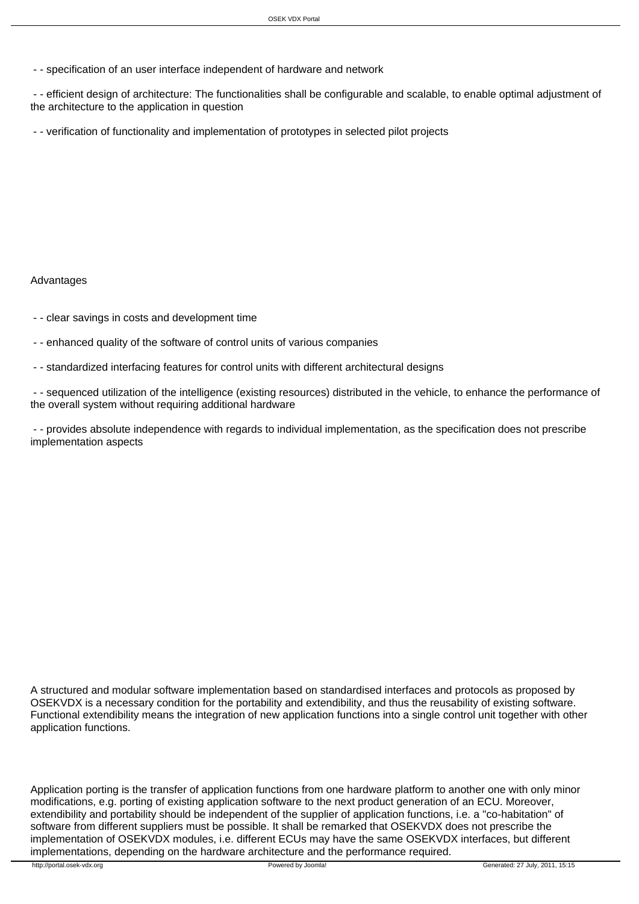- - specification of an user interface independent of hardware and network

 - - efficient design of architecture: The functionalities shall be configurable and scalable, to enable optimal adjustment of the architecture to the application in question

- - verification of functionality and implementation of prototypes in selected pilot projects

Advantages

- - clear savings in costs and development time
- - enhanced quality of the software of control units of various companies
- - standardized interfacing features for control units with different architectural designs

 - - sequenced utilization of the intelligence (existing resources) distributed in the vehicle, to enhance the performance of the overall system without requiring additional hardware

 - - provides absolute independence with regards to individual implementation, as the specification does not prescribe implementation aspects

A structured and modular software implementation based on standardised interfaces and protocols as proposed by OSEKVDX is a necessary condition for the portability and extendibility, and thus the reusability of existing software. Functional extendibility means the integration of new application functions into a single control unit together with other application functions.

Application porting is the transfer of application functions from one hardware platform to another one with only minor modifications, e.g. porting of existing application software to the next product generation of an ECU. Moreover, extendibility and portability should be independent of the supplier of application functions, i.e. a "co-habitation" of software from different suppliers must be possible. It shall be remarked that OSEKVDX does not prescribe the implementation of OSEKVDX modules, i.e. different ECUs may have the same OSEKVDX interfaces, but different implementations, depending on the hardware architecture and the performance required.